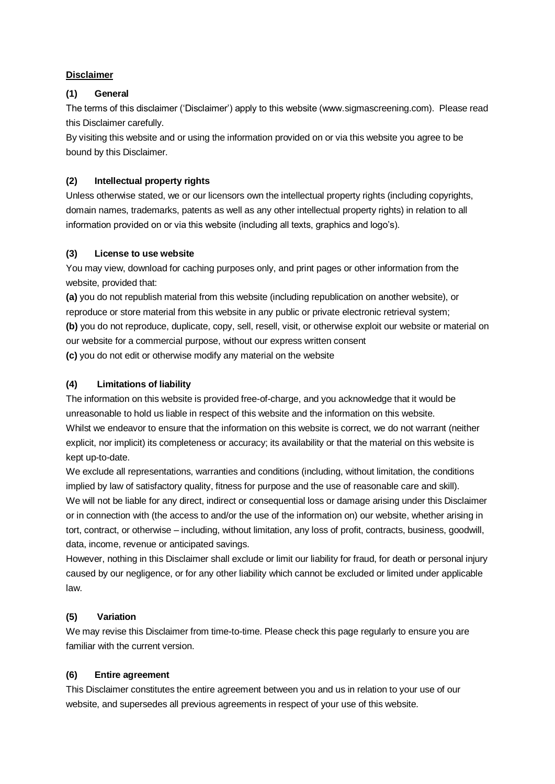#### **Disclaimer**

#### **(1) General**

The terms of this disclaimer ('Disclaimer') apply to this website (www.sigmascreening.com). Please read this Disclaimer carefully.

By visiting this website and or using the information provided on or via this website you agree to be bound by this Disclaimer.

## **(2) Intellectual property rights**

Unless otherwise stated, we or our licensors own the intellectual property rights (including copyrights, domain names, trademarks, patents as well as any other intellectual property rights) in relation to all information provided on or via this website (including all texts, graphics and logo's).

## **(3) License to use website**

You may view, download for caching purposes only, and print pages or other information from the website, provided that:

**(a)** you do not republish material from this website (including republication on another website), or reproduce or store material from this website in any public or private electronic retrieval system; **(b)** you do not reproduce, duplicate, copy, sell, resell, visit, or otherwise exploit our website or material on our website for a commercial purpose, without our express written consent **(c)** you do not edit or otherwise modify any material on the website

## **(4) Limitations of liability**

The information on this website is provided free-of-charge, and you acknowledge that it would be unreasonable to hold us liable in respect of this website and the information on this website. Whilst we endeavor to ensure that the information on this website is correct, we do not warrant (neither explicit, nor implicit) its completeness or accuracy; its availability or that the material on this website is kept up-to-date.

We exclude all representations, warranties and conditions (including, without limitation, the conditions implied by law of satisfactory quality, fitness for purpose and the use of reasonable care and skill). We will not be liable for any direct, indirect or consequential loss or damage arising under this Disclaimer or in connection with (the access to and/or the use of the information on) our website, whether arising in tort, contract, or otherwise – including, without limitation, any loss of profit, contracts, business, goodwill, data, income, revenue or anticipated savings.

However, nothing in this Disclaimer shall exclude or limit our liability for fraud, for death or personal injury caused by our negligence, or for any other liability which cannot be excluded or limited under applicable law.

# **(5) Variation**

We may revise this Disclaimer from time-to-time. Please check this page regularly to ensure you are familiar with the current version.

# **(6) Entire agreement**

This Disclaimer constitutes the entire agreement between you and us in relation to your use of our website, and supersedes all previous agreements in respect of your use of this website.